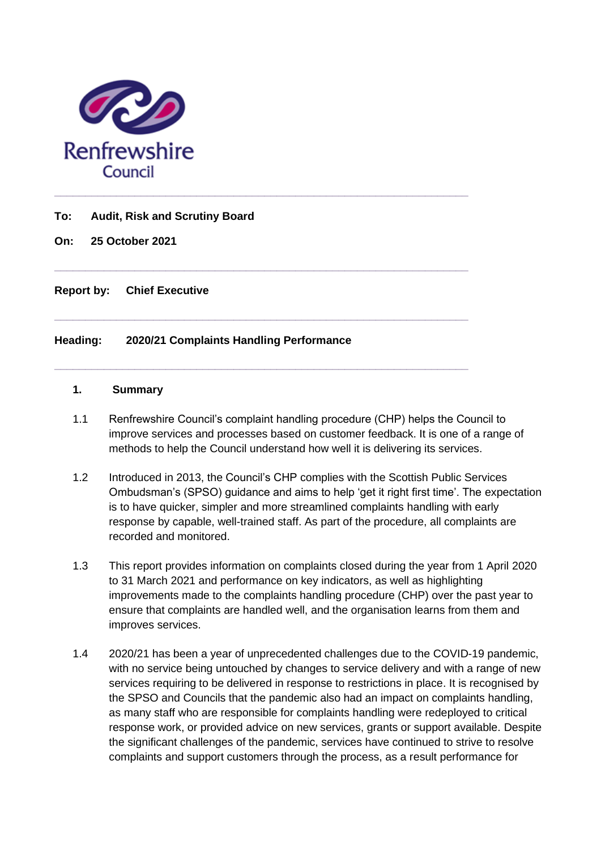

### **To: Audit, Risk and Scrutiny Board**

**On: 25 October 2021**

**Report by: Chief Executive**

## **Heading: 2020/21 Complaints Handling Performance**

#### **1. Summary**

1.1 Renfrewshire Council's complaint handling procedure (CHP) helps the Council to improve services and processes based on customer feedback. It is one of a range of methods to help the Council understand how well it is delivering its services.

**\_\_\_\_\_\_\_\_\_\_\_\_\_\_\_\_\_\_\_\_\_\_\_\_\_\_\_\_\_\_\_\_\_\_\_\_\_\_\_\_\_\_\_\_\_\_\_\_\_\_\_\_\_\_\_\_\_\_\_\_\_\_\_\_\_\_\_**

**\_\_\_\_\_\_\_\_\_\_\_\_\_\_\_\_\_\_\_\_\_\_\_\_\_\_\_\_\_\_\_\_\_\_\_\_\_\_\_\_\_\_\_\_\_\_\_\_\_\_\_\_\_\_\_\_\_\_\_\_\_\_\_\_\_\_\_**

**\_\_\_\_\_\_\_\_\_\_\_\_\_\_\_\_\_\_\_\_\_\_\_\_\_\_\_\_\_\_\_\_\_\_\_\_\_\_\_\_\_\_\_\_\_\_\_\_\_\_\_\_\_\_\_\_\_\_\_\_\_\_\_\_\_\_\_**

- 1.2 Introduced in 2013, the Council's CHP complies with the Scottish Public Services Ombudsman's (SPSO) guidance and aims to help 'get it right first time'. The expectation is to have quicker, simpler and more streamlined complaints handling with early response by capable, well-trained staff. As part of the procedure, all complaints are recorded and monitored.
- 1.3 This report provides information on complaints closed during the year from 1 April 2020 to 31 March 2021 and performance on key indicators, as well as highlighting improvements made to the complaints handling procedure (CHP) over the past year to ensure that complaints are handled well, and the organisation learns from them and improves services.
- 1.4 2020/21 has been a year of unprecedented challenges due to the COVID-19 pandemic, with no service being untouched by changes to service delivery and with a range of new services requiring to be delivered in response to restrictions in place. It is recognised by the SPSO and Councils that the pandemic also had an impact on complaints handling, as many staff who are responsible for complaints handling were redeployed to critical response work, or provided advice on new services, grants or support available. Despite the significant challenges of the pandemic, services have continued to strive to resolve complaints and support customers through the process, as a result performance for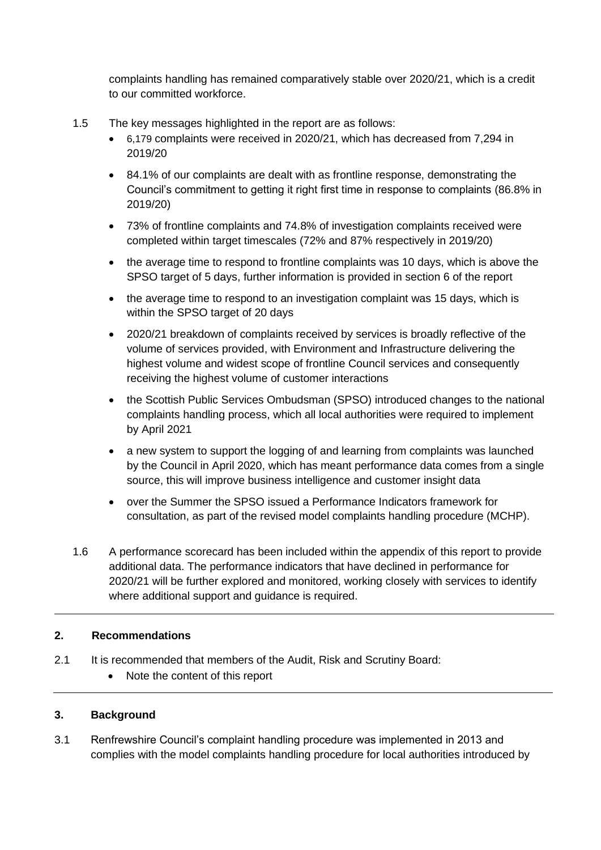complaints handling has remained comparatively stable over 2020/21, which is a credit to our committed workforce.

- 1.5 The key messages highlighted in the report are as follows:
	- 6,179 complaints were received in 2020/21, which has decreased from 7,294 in 2019/20
	- 84.1% of our complaints are dealt with as frontline response, demonstrating the Council's commitment to getting it right first time in response to complaints (86.8% in 2019/20)
	- 73% of frontline complaints and 74.8% of investigation complaints received were completed within target timescales (72% and 87% respectively in 2019/20)
	- the average time to respond to frontline complaints was 10 days, which is above the SPSO target of 5 days, further information is provided in section 6 of the report
	- the average time to respond to an investigation complaint was 15 days, which is within the SPSO target of 20 days
	- 2020/21 breakdown of complaints received by services is broadly reflective of the volume of services provided, with Environment and Infrastructure delivering the highest volume and widest scope of frontline Council services and consequently receiving the highest volume of customer interactions
	- the Scottish Public Services Ombudsman (SPSO) introduced changes to the national complaints handling process, which all local authorities were required to implement by April 2021
	- a new system to support the logging of and learning from complaints was launched by the Council in April 2020, which has meant performance data comes from a single source, this will improve business intelligence and customer insight data
	- over the Summer the SPSO issued a Performance Indicators framework for consultation, as part of the revised model complaints handling procedure (MCHP).
- 1.6 A performance scorecard has been included within the appendix of this report to provide additional data. The performance indicators that have declined in performance for 2020/21 will be further explored and monitored, working closely with services to identify where additional support and guidance is required.

# **2. Recommendations**

- 2.1 It is recommended that members of the Audit. Risk and Scrutiny Board:
	- Note the content of this report

### **3. Background**

3.1 Renfrewshire Council's complaint handling procedure was implemented in 2013 and complies with the model complaints handling procedure for local authorities introduced by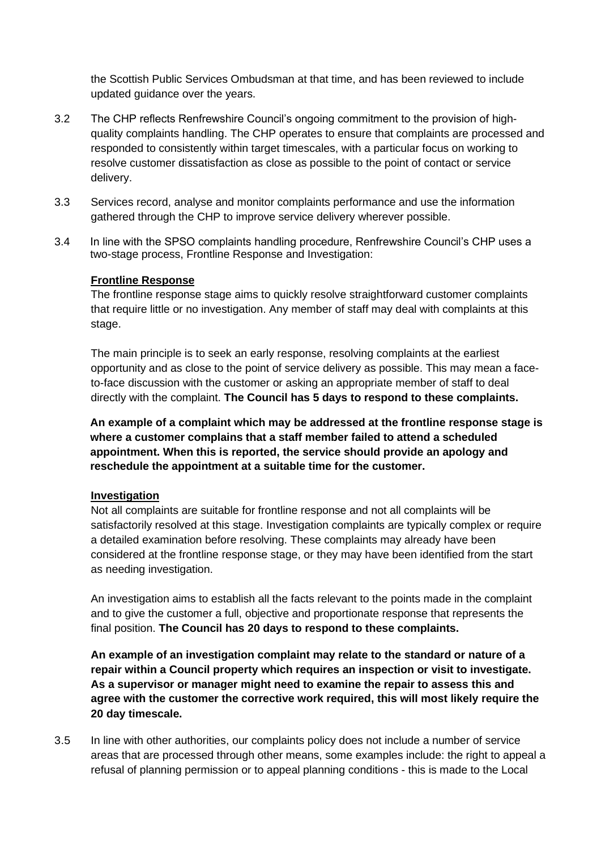the Scottish Public Services Ombudsman at that time, and has been reviewed to include updated guidance over the years.

- 3.2 The CHP reflects Renfrewshire Council's ongoing commitment to the provision of highquality complaints handling. The CHP operates to ensure that complaints are processed and responded to consistently within target timescales, with a particular focus on working to resolve customer dissatisfaction as close as possible to the point of contact or service delivery.
- 3.3 Services record, analyse and monitor complaints performance and use the information gathered through the CHP to improve service delivery wherever possible.
- 3.4 In line with the SPSO complaints handling procedure, Renfrewshire Council's CHP uses a two-stage process, Frontline Response and Investigation:

### **Frontline Response**

The frontline response stage aims to quickly resolve straightforward customer complaints that require little or no investigation. Any member of staff may deal with complaints at this stage.

The main principle is to seek an early response, resolving complaints at the earliest opportunity and as close to the point of service delivery as possible. This may mean a faceto-face discussion with the customer or asking an appropriate member of staff to deal directly with the complaint. **The Council has 5 days to respond to these complaints.** 

**An example of a complaint which may be addressed at the frontline response stage is where a customer complains that a staff member failed to attend a scheduled appointment. When this is reported, the service should provide an apology and reschedule the appointment at a suitable time for the customer.** 

### **Investigation**

Not all complaints are suitable for frontline response and not all complaints will be satisfactorily resolved at this stage. Investigation complaints are typically complex or require a detailed examination before resolving. These complaints may already have been considered at the frontline response stage, or they may have been identified from the start as needing investigation.

An investigation aims to establish all the facts relevant to the points made in the complaint and to give the customer a full, objective and proportionate response that represents the final position. **The Council has 20 days to respond to these complaints.** 

**An example of an investigation complaint may relate to the standard or nature of a repair within a Council property which requires an inspection or visit to investigate. As a supervisor or manager might need to examine the repair to assess this and agree with the customer the corrective work required, this will most likely require the 20 day timescale.** 

3.5 In line with other authorities, our complaints policy does not include a number of service areas that are processed through other means, some examples include: the right to appeal a refusal of planning permission or to appeal planning conditions - this is made to the Local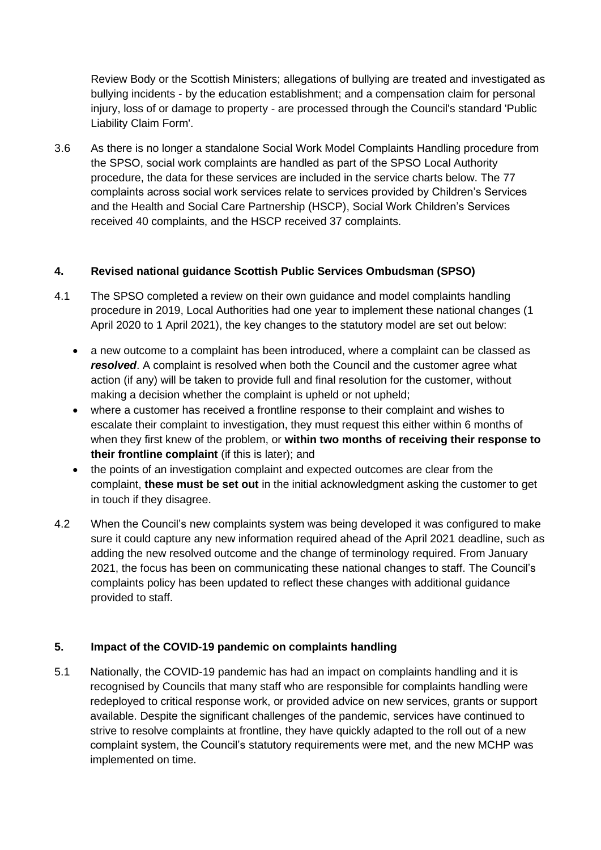Review Body or the Scottish Ministers; allegations of bullying are treated and investigated as bullying incidents - by the education establishment; and a compensation claim for personal injury, loss of or damage to property - are processed through the Council's standard 'Public Liability Claim Form'.

3.6 As there is no longer a standalone Social Work Model Complaints Handling procedure from the SPSO, social work complaints are handled as part of the SPSO Local Authority procedure, the data for these services are included in the service charts below. The 77 complaints across social work services relate to services provided by Children's Services and the Health and Social Care Partnership (HSCP), Social Work Children's Services received 40 complaints, and the HSCP received 37 complaints.

## **4. Revised national guidance Scottish Public Services Ombudsman (SPSO)**

- 4.1 The SPSO completed a review on their own guidance and model complaints handling procedure in 2019, Local Authorities had one year to implement these national changes (1 April 2020 to 1 April 2021), the key changes to the statutory model are set out below:
	- a new outcome to a complaint has been introduced, where a complaint can be classed as *resolved*. A complaint is resolved when both the Council and the customer agree what action (if any) will be taken to provide full and final resolution for the customer, without making a decision whether the complaint is upheld or not upheld;
	- where a customer has received a frontline response to their complaint and wishes to escalate their complaint to investigation, they must request this either within 6 months of when they first knew of the problem, or **within two months of receiving their response to their frontline complaint** (if this is later); and
	- the points of an investigation complaint and expected outcomes are clear from the complaint, **these must be set out** in the initial acknowledgment asking the customer to get in touch if they disagree.
- 4.2 When the Council's new complaints system was being developed it was configured to make sure it could capture any new information required ahead of the April 2021 deadline, such as adding the new resolved outcome and the change of terminology required. From January 2021, the focus has been on communicating these national changes to staff. The Council's complaints policy has been updated to reflect these changes with additional guidance provided to staff.

### **5. Impact of the COVID-19 pandemic on complaints handling**

5.1 Nationally, the COVID-19 pandemic has had an impact on complaints handling and it is recognised by Councils that many staff who are responsible for complaints handling were redeployed to critical response work, or provided advice on new services, grants or support available. Despite the significant challenges of the pandemic, services have continued to strive to resolve complaints at frontline, they have quickly adapted to the roll out of a new complaint system, the Council's statutory requirements were met, and the new MCHP was implemented on time.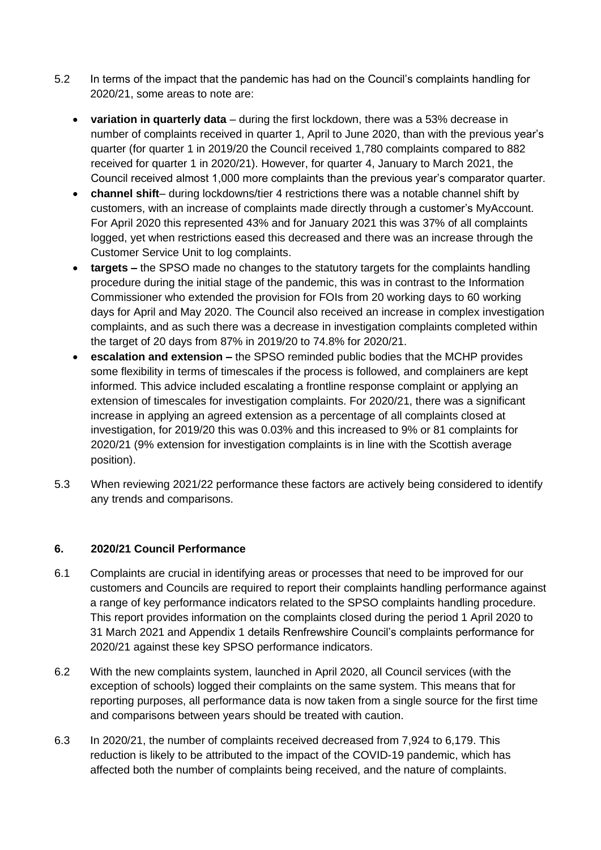- 5.2 In terms of the impact that the pandemic has had on the Council's complaints handling for 2020/21, some areas to note are:
	- **variation in quarterly data** during the first lockdown, there was a 53% decrease in number of complaints received in quarter 1, April to June 2020, than with the previous year's quarter (for quarter 1 in 2019/20 the Council received 1,780 complaints compared to 882 received for quarter 1 in 2020/21). However, for quarter 4, January to March 2021, the Council received almost 1,000 more complaints than the previous year's comparator quarter.
	- **channel shift** during lockdowns/tier 4 restrictions there was a notable channel shift by customers, with an increase of complaints made directly through a customer's MyAccount. For April 2020 this represented 43% and for January 2021 this was 37% of all complaints logged, yet when restrictions eased this decreased and there was an increase through the Customer Service Unit to log complaints.
	- **targets –** the SPSO made no changes to the statutory targets for the complaints handling procedure during the initial stage of the pandemic, this was in contrast to the Information Commissioner who extended the provision for FOIs from 20 working days to 60 working days for April and May 2020. The Council also received an increase in complex investigation complaints, and as such there was a decrease in investigation complaints completed within the target of 20 days from 87% in 2019/20 to 74.8% for 2020/21.
	- **escalation and extension –** the SPSO reminded public bodies that the MCHP provides some flexibility in terms of timescales if the process is followed, and complainers are kept informed. This advice included escalating a frontline response complaint or applying an extension of timescales for investigation complaints. For 2020/21, there was a significant increase in applying an agreed extension as a percentage of all complaints closed at investigation, for 2019/20 this was 0.03% and this increased to 9% or 81 complaints for 2020/21 (9% extension for investigation complaints is in line with the Scottish average position).
- 5.3 When reviewing 2021/22 performance these factors are actively being considered to identify any trends and comparisons.

# **6. 2020/21 Council Performance**

- 6.1 Complaints are crucial in identifying areas or processes that need to be improved for our customers and Councils are required to report their complaints handling performance against a range of key performance indicators related to the SPSO complaints handling procedure. This report provides information on the complaints closed during the period 1 April 2020 to 31 March 2021 and Appendix 1 details Renfrewshire Council's complaints performance for 2020/21 against these key SPSO performance indicators.
- 6.2 With the new complaints system, launched in April 2020, all Council services (with the exception of schools) logged their complaints on the same system. This means that for reporting purposes, all performance data is now taken from a single source for the first time and comparisons between years should be treated with caution.
- 6.3 In 2020/21, the number of complaints received decreased from 7,924 to 6,179. This reduction is likely to be attributed to the impact of the COVID-19 pandemic, which has affected both the number of complaints being received, and the nature of complaints.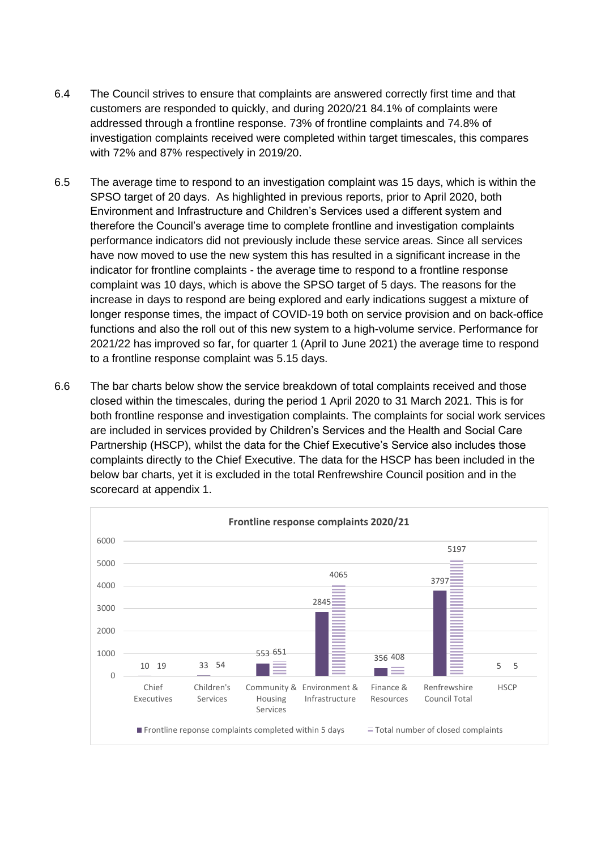- 6.4 The Council strives to ensure that complaints are answered correctly first time and that customers are responded to quickly, and during 2020/21 84.1% of complaints were addressed through a frontline response. 73% of frontline complaints and 74.8% of investigation complaints received were completed within target timescales, this compares with 72% and 87% respectively in 2019/20.
- 6.5 The average time to respond to an investigation complaint was 15 days, which is within the SPSO target of 20 days. As highlighted in previous reports, prior to April 2020, both Environment and Infrastructure and Children's Services used a different system and therefore the Council's average time to complete frontline and investigation complaints performance indicators did not previously include these service areas. Since all services have now moved to use the new system this has resulted in a significant increase in the indicator for frontline complaints - the average time to respond to a frontline response complaint was 10 days, which is above the SPSO target of 5 days. The reasons for the increase in days to respond are being explored and early indications suggest a mixture of longer response times, the impact of COVID-19 both on service provision and on back-office functions and also the roll out of this new system to a high-volume service. Performance for 2021/22 has improved so far, for quarter 1 (April to June 2021) the average time to respond to a frontline response complaint was 5.15 days.
- 6.6 The bar charts below show the service breakdown of total complaints received and those closed within the timescales, during the period 1 April 2020 to 31 March 2021. This is for both frontline response and investigation complaints. The complaints for social work services are included in services provided by Children's Services and the Health and Social Care Partnership (HSCP), whilst the data for the Chief Executive's Service also includes those complaints directly to the Chief Executive. The data for the HSCP has been included in the below bar charts, yet it is excluded in the total Renfrewshire Council position and in the scorecard at appendix 1.

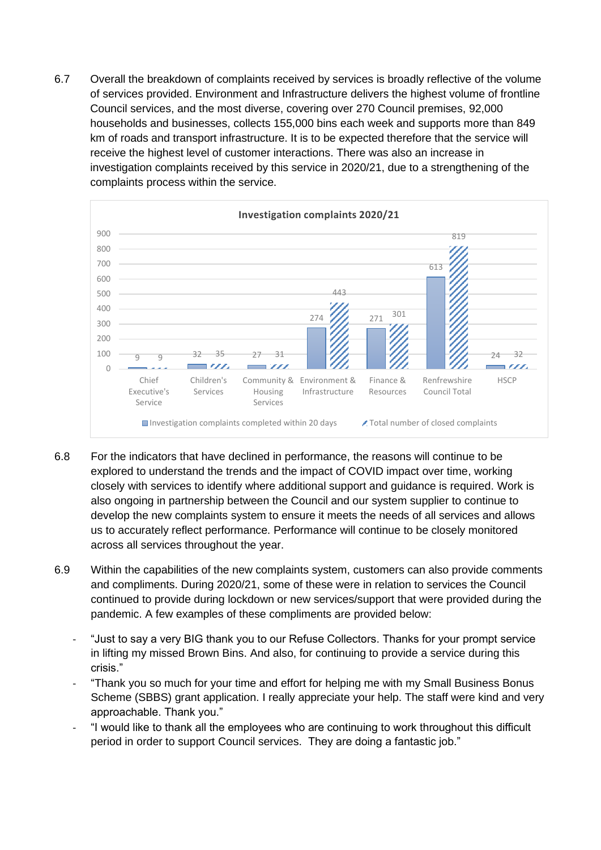6.7 Overall the breakdown of complaints received by services is broadly reflective of the volume of services provided. Environment and Infrastructure delivers the highest volume of frontline Council services, and the most diverse, covering over 270 Council premises, 92,000 households and businesses, collects 155,000 bins each week and supports more than 849 km of roads and transport infrastructure. It is to be expected therefore that the service will receive the highest level of customer interactions. There was also an increase in investigation complaints received by this service in 2020/21, due to a strengthening of the complaints process within the service.



- 6.8 For the indicators that have declined in performance, the reasons will continue to be explored to understand the trends and the impact of COVID impact over time, working closely with services to identify where additional support and guidance is required. Work is also ongoing in partnership between the Council and our system supplier to continue to develop the new complaints system to ensure it meets the needs of all services and allows us to accurately reflect performance. Performance will continue to be closely monitored across all services throughout the year.
- 6.9 Within the capabilities of the new complaints system, customers can also provide comments and compliments. During 2020/21, some of these were in relation to services the Council continued to provide during lockdown or new services/support that were provided during the pandemic. A few examples of these compliments are provided below:
	- "Just to say a very BIG thank you to our Refuse Collectors. Thanks for your prompt service in lifting my missed Brown Bins. And also, for continuing to provide a service during this crisis."
	- "Thank you so much for your time and effort for helping me with my Small Business Bonus Scheme (SBBS) grant application. I really appreciate your help. The staff were kind and very approachable. Thank you."
	- "I would like to thank all the employees who are continuing to work throughout this difficult period in order to support Council services. They are doing a fantastic job."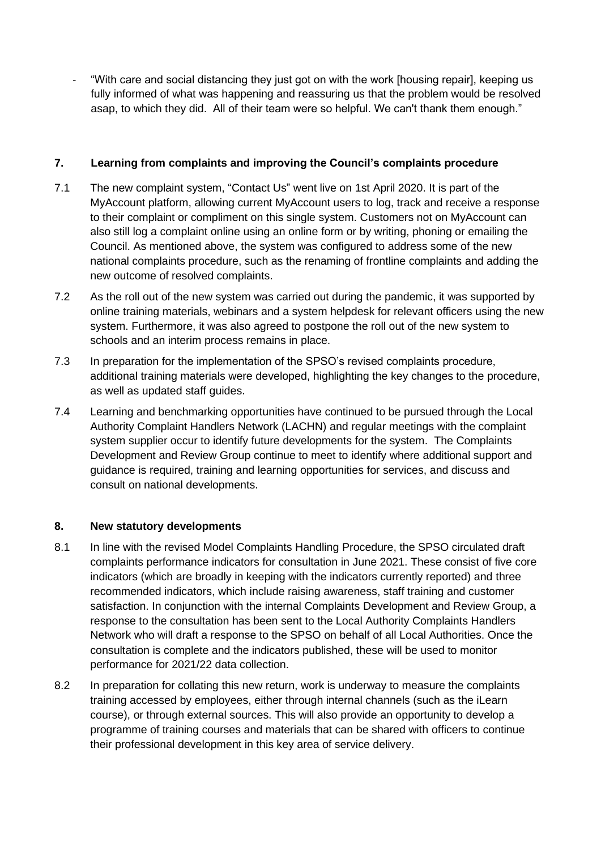"With care and social distancing they just got on with the work [housing repair], keeping us fully informed of what was happening and reassuring us that the problem would be resolved asap, to which they did. All of their team were so helpful. We can't thank them enough."

# **7. Learning from complaints and improving the Council's complaints procedure**

- 7.1 The new complaint system, "Contact Us" went live on 1st April 2020. It is part of the MyAccount platform, allowing current MyAccount users to log, track and receive a response to their complaint or compliment on this single system. Customers not on MyAccount can also still log a complaint online using an online form or by writing, phoning or emailing the Council. As mentioned above, the system was configured to address some of the new national complaints procedure, such as the renaming of frontline complaints and adding the new outcome of resolved complaints.
- 7.2 As the roll out of the new system was carried out during the pandemic, it was supported by online training materials, webinars and a system helpdesk for relevant officers using the new system. Furthermore, it was also agreed to postpone the roll out of the new system to schools and an interim process remains in place.
- 7.3 In preparation for the implementation of the SPSO's revised complaints procedure, additional training materials were developed, highlighting the key changes to the procedure, as well as updated staff guides.
- 7.4 Learning and benchmarking opportunities have continued to be pursued through the Local Authority Complaint Handlers Network (LACHN) and regular meetings with the complaint system supplier occur to identify future developments for the system. The Complaints Development and Review Group continue to meet to identify where additional support and guidance is required, training and learning opportunities for services, and discuss and consult on national developments.

# **8. New statutory developments**

- 8.1 In line with the revised Model Complaints Handling Procedure, the SPSO circulated draft complaints performance indicators for consultation in June 2021. These consist of five core indicators (which are broadly in keeping with the indicators currently reported) and three recommended indicators, which include raising awareness, staff training and customer satisfaction. In conjunction with the internal Complaints Development and Review Group, a response to the consultation has been sent to the Local Authority Complaints Handlers Network who will draft a response to the SPSO on behalf of all Local Authorities. Once the consultation is complete and the indicators published, these will be used to monitor performance for 2021/22 data collection.
- 8.2 In preparation for collating this new return, work is underway to measure the complaints training accessed by employees, either through internal channels (such as the iLearn course), or through external sources. This will also provide an opportunity to develop a programme of training courses and materials that can be shared with officers to continue their professional development in this key area of service delivery.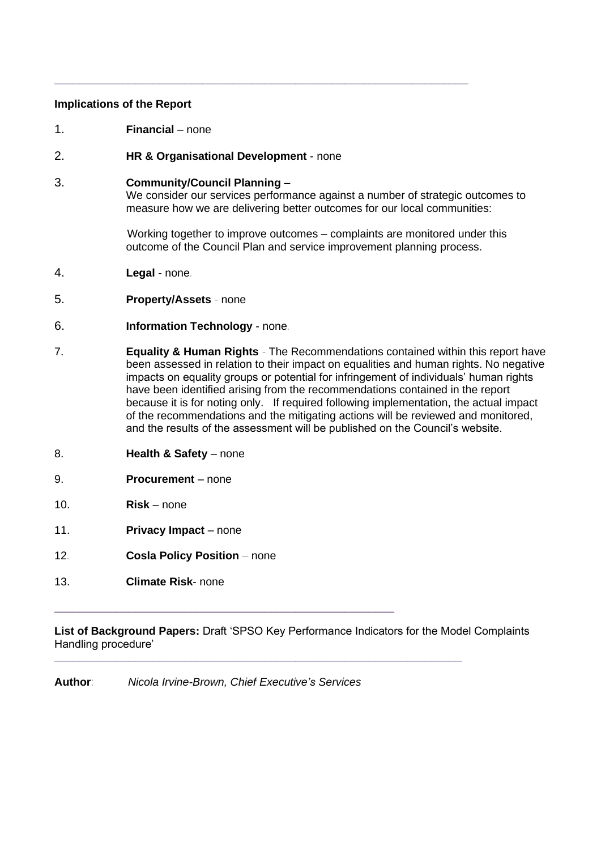#### **Implications of the Report**

- 1. **Financial** none
- 2. **HR & Organisational Development** none

**\_\_\_\_\_\_\_\_\_\_\_\_\_\_\_\_\_\_\_\_\_\_\_\_\_\_\_\_\_\_\_\_\_\_\_\_\_\_\_\_\_\_\_\_\_\_\_\_\_\_\_\_\_\_\_\_\_\_\_\_\_\_\_\_\_\_\_** 

#### 3. **Community/Council Planning –**

We consider our services performance against a number of strategic outcomes to measure how we are delivering better outcomes for our local communities:

Working together to improve outcomes – complaints are monitored under this outcome of the Council Plan and service improvement planning process.

- 4. **Legal** none*.*
- 5. **Property/Assets** *-* none
- 6. **Information Technology** none*.*
- 7. **Equality & Human Rights** *-* The Recommendations contained within this report have been assessed in relation to their impact on equalities and human rights. No negative impacts on equality groups or potential for infringement of individuals' human rights have been identified arising from the recommendations contained in the report because it is for noting only. If required following implementation, the actual impact of the recommendations and the mitigating actions will be reviewed and monitored, and the results of the assessment will be published on the Council's website.
- 8. **Health & Safety** none
- 9. **Procurement** none
- 10. **Risk** none
- 11. **Privacy Impact** none
- 12*.* **Cosla Policy Position** *–* none
- 13. **Climate Risk** none

**List of Background Papers:** Draft 'SPSO Key Performance Indicators for the Model Complaints Handling procedure'

**\_\_\_\_\_\_\_\_\_\_\_\_\_\_\_\_\_\_\_\_\_\_\_\_\_\_\_\_\_\_\_\_\_\_\_\_\_\_\_\_\_\_\_\_\_\_\_\_\_\_\_\_\_\_\_\_\_\_\_\_\_\_\_\_\_\_**

**Author**: *Nicola Irvine-Brown, Chief Executive's Services*

 $\_$  , and the set of the set of the set of the set of the set of the set of the set of the set of the set of the set of the set of the set of the set of the set of the set of the set of the set of the set of the set of th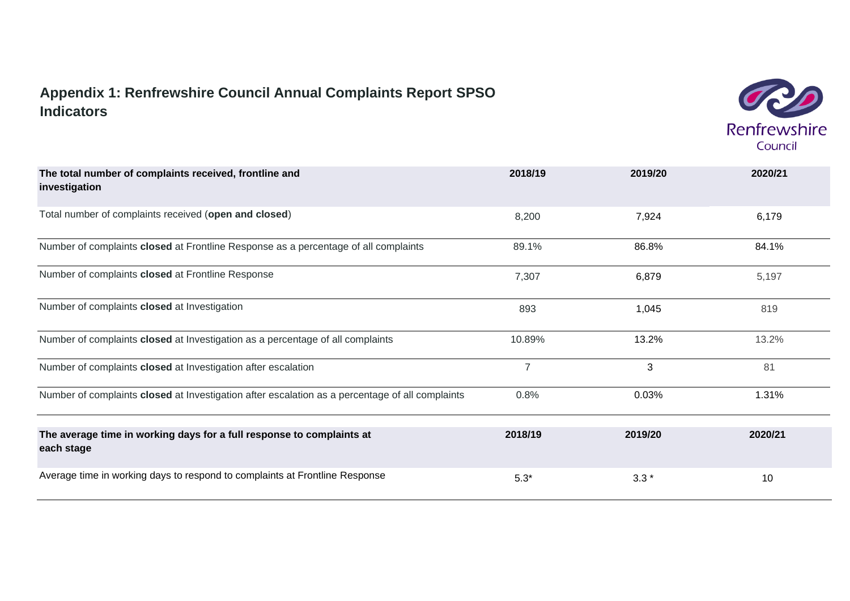# **Appendix 1: Renfrewshire Council Annual Complaints Report SPSO Indicators**



| The total number of complaints received, frontline and<br>investigation                         | 2018/19        | 2019/20      | 2020/21 |
|-------------------------------------------------------------------------------------------------|----------------|--------------|---------|
| Total number of complaints received (open and closed)                                           | 8,200          | 7,924        | 6,179   |
| Number of complaints closed at Frontline Response as a percentage of all complaints             | 89.1%          | 86.8%        | 84.1%   |
| Number of complaints closed at Frontline Response                                               | 7,307          | 6,879        | 5,197   |
| Number of complaints closed at Investigation                                                    | 893            | 1,045        | 819     |
| Number of complaints closed at Investigation as a percentage of all complaints                  | 10.89%         | 13.2%        | 13.2%   |
| Number of complaints closed at Investigation after escalation                                   | $\overline{7}$ | $\mathbf{3}$ | 81      |
| Number of complaints closed at Investigation after escalation as a percentage of all complaints | 0.8%           | 0.03%        | 1.31%   |
| The average time in working days for a full response to complaints at<br>each stage             | 2018/19        | 2019/20      | 2020/21 |
| Average time in working days to respond to complaints at Frontline Response                     | $5.3*$         | $3.3*$       | 10      |